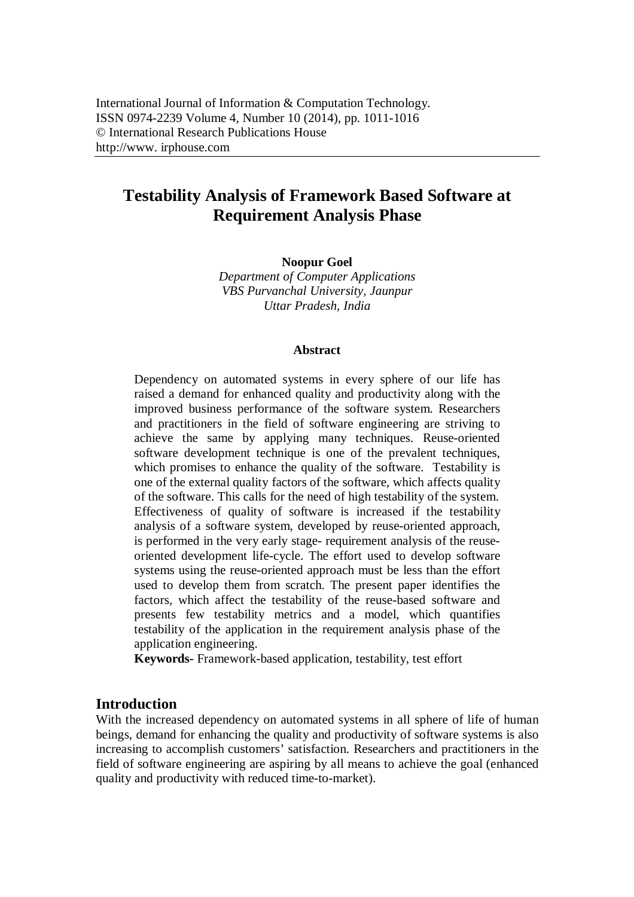# **Testability Analysis of Framework Based Software at Requirement Analysis Phase**

**Noopur Goel**

*Department of Computer Applications VBS Purvanchal University, Jaunpur Uttar Pradesh, India*

#### **Abstract**

Dependency on automated systems in every sphere of our life has raised a demand for enhanced quality and productivity along with the improved business performance of the software system. Researchers and practitioners in the field of software engineering are striving to achieve the same by applying many techniques. Reuse-oriented software development technique is one of the prevalent techniques, which promises to enhance the quality of the software. Testability is one of the external quality factors of the software, which affects quality of the software. This calls for the need of high testability of the system. Effectiveness of quality of software is increased if the testability analysis of a software system, developed by reuse-oriented approach, is performed in the very early stage- requirement analysis of the reuseoriented development life-cycle. The effort used to develop software systems using the reuse-oriented approach must be less than the effort used to develop them from scratch. The present paper identifies the factors, which affect the testability of the reuse-based software and presents few testability metrics and a model, which quantifies testability of the application in the requirement analysis phase of the application engineering.

**Keywords-** Framework-based application, testability, test effort

# **Introduction**

With the increased dependency on automated systems in all sphere of life of human beings, demand for enhancing the quality and productivity of software systems is also increasing to accomplish customers' satisfaction. Researchers and practitioners in the field of software engineering are aspiring by all means to achieve the goal (enhanced quality and productivity with reduced time-to-market).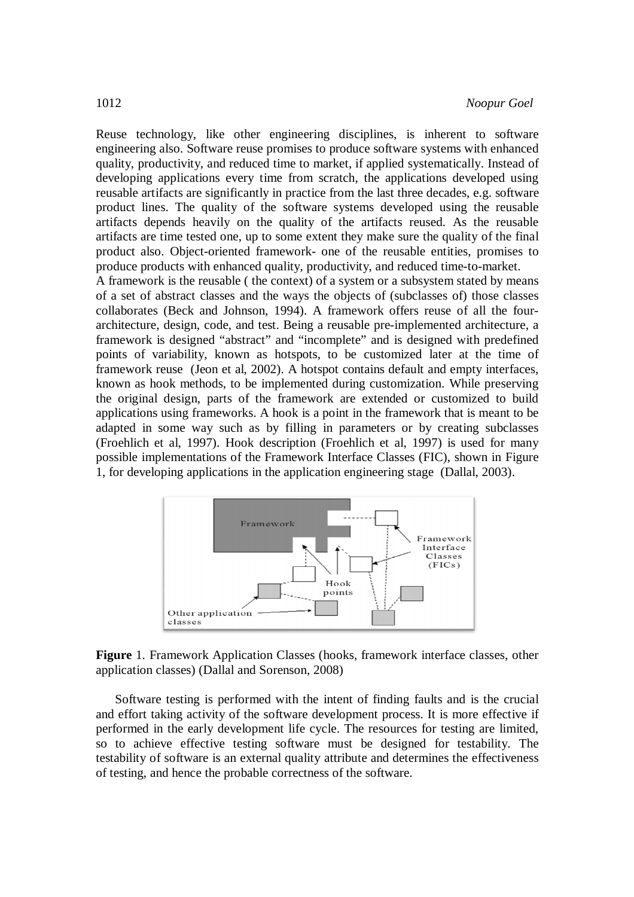Reuse technology, like other engineering disciplines, is inherent to software engineering also. Software reuse promises to produce software systems with enhanced quality, productivity, and reduced time to market, if applied systematically. Instead of developing applications every time from scratch, the applications developed using reusable artifacts are significantly in practice from the last three decades, e.g. software product lines. The quality of the software systems developed using the reusable artifacts depends heavily on the quality of the artifacts reused. As the reusable artifacts are time tested one, up to some extent they make sure the quality of the final product also. Object-oriented framework- one of the reusable entities, promises to produce products with enhanced quality, productivity, and reduced time-to-market.

A framework is the reusable ( the context) of a system or a subsystem stated by means of a set of abstract classes and the ways the objects of (subclasses of) those classes collaborates (Beck and Johnson, 1994). A framework offers reuse of all the fourarchitecture, design, code, and test. Being a reusable pre-implemented architecture, a framework is designed "abstract" and "incomplete" and is designed with predefined points of variability, known as hotspots, to be customized later at the time of framework reuse (Jeon et al, 2002). A hotspot contains default and empty interfaces, known as hook methods, to be implemented during customization. While preserving the original design, parts of the framework are extended or customized to build applications using frameworks. A hook is a point in the framework that is meant to be adapted in some way such as by filling in parameters or by creating subclasses (Froehlich et al, 1997). Hook description (Froehlich et al, 1997) is used for many possible implementations of the Framework Interface Classes (FIC), shown in Figure 1, for developing applications in the application engineering stage (Dallal, 2003).



**Figure** 1. Framework Application Classes (hooks, framework interface classes, other application classes) (Dallal and Sorenson, 2008)

Software testing is performed with the intent of finding faults and is the crucial and effort taking activity of the software development process. It is more effective if performed in the early development life cycle. The resources for testing are limited, so to achieve effective testing software must be designed for testability. The testability of software is an external quality attribute and determines the effectiveness of testing, and hence the probable correctness of the software.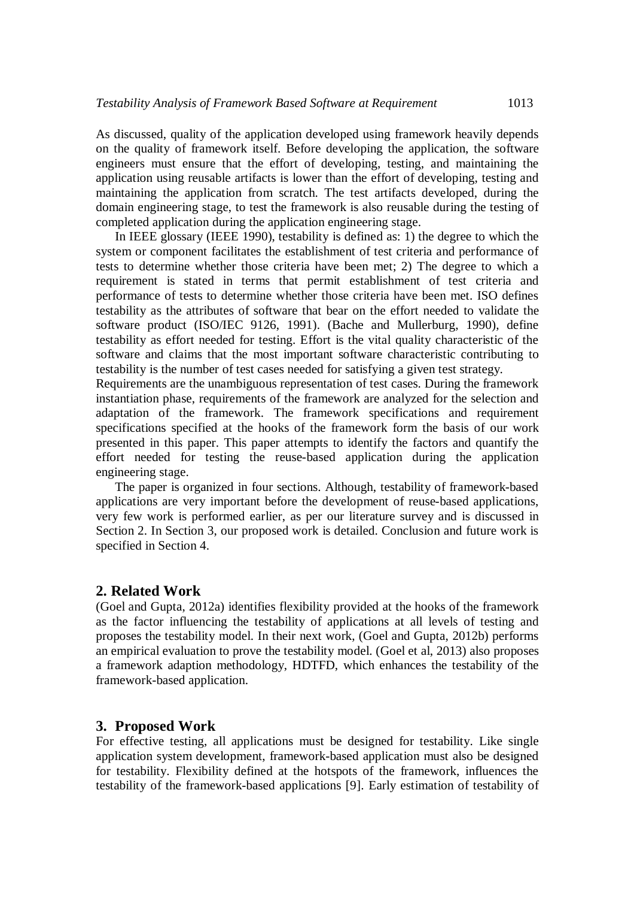As discussed, quality of the application developed using framework heavily depends on the quality of framework itself. Before developing the application, the software engineers must ensure that the effort of developing, testing, and maintaining the application using reusable artifacts is lower than the effort of developing, testing and maintaining the application from scratch. The test artifacts developed, during the domain engineering stage, to test the framework is also reusable during the testing of completed application during the application engineering stage.

In IEEE glossary (IEEE 1990), testability is defined as: 1) the degree to which the system or component facilitates the establishment of test criteria and performance of tests to determine whether those criteria have been met; 2) The degree to which a requirement is stated in terms that permit establishment of test criteria and performance of tests to determine whether those criteria have been met. ISO defines testability as the attributes of software that bear on the effort needed to validate the software product (ISO/IEC 9126, 1991). (Bache and Mullerburg, 1990), define testability as effort needed for testing. Effort is the vital quality characteristic of the software and claims that the most important software characteristic contributing to testability is the number of test cases needed for satisfying a given test strategy.

Requirements are the unambiguous representation of test cases. During the framework instantiation phase, requirements of the framework are analyzed for the selection and adaptation of the framework. The framework specifications and requirement specifications specified at the hooks of the framework form the basis of our work presented in this paper. This paper attempts to identify the factors and quantify the effort needed for testing the reuse-based application during the application engineering stage.

The paper is organized in four sections. Although, testability of framework-based applications are very important before the development of reuse-based applications, very few work is performed earlier, as per our literature survey and is discussed in Section 2. In Section 3, our proposed work is detailed. Conclusion and future work is specified in Section 4.

# **2. Related Work**

(Goel and Gupta, 2012a) identifies flexibility provided at the hooks of the framework as the factor influencing the testability of applications at all levels of testing and proposes the testability model. In their next work, (Goel and Gupta, 2012b) performs an empirical evaluation to prove the testability model. (Goel et al, 2013) also proposes a framework adaption methodology, HDTFD, which enhances the testability of the framework-based application.

#### **3. Proposed Work**

For effective testing, all applications must be designed for testability. Like single application system development, framework-based application must also be designed for testability. Flexibility defined at the hotspots of the framework, influences the testability of the framework-based applications [9]. Early estimation of testability of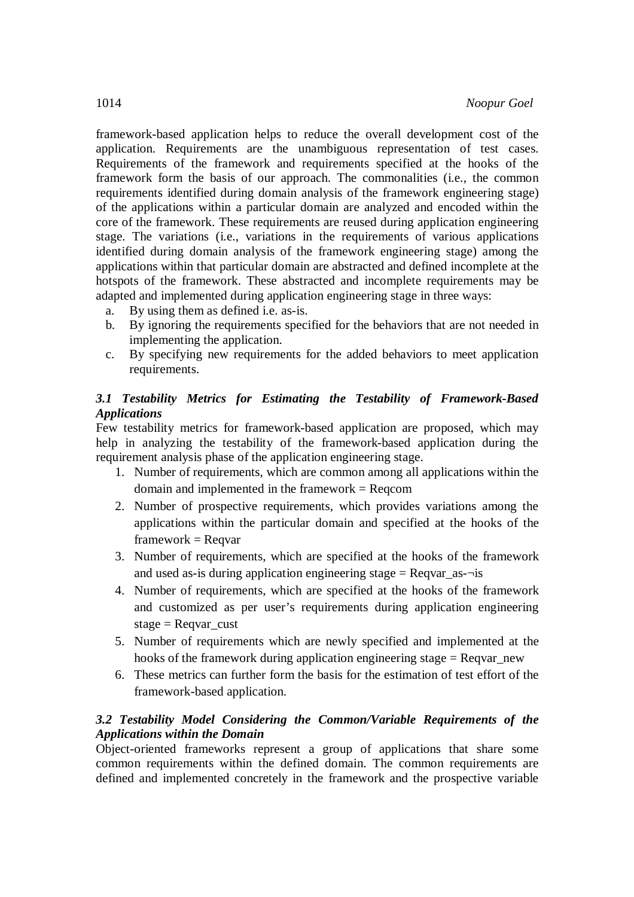framework-based application helps to reduce the overall development cost of the application. Requirements are the unambiguous representation of test cases. Requirements of the framework and requirements specified at the hooks of the framework form the basis of our approach. The commonalities (i.e., the common requirements identified during domain analysis of the framework engineering stage) of the applications within a particular domain are analyzed and encoded within the core of the framework. These requirements are reused during application engineering stage. The variations (i.e., variations in the requirements of various applications identified during domain analysis of the framework engineering stage) among the applications within that particular domain are abstracted and defined incomplete at the hotspots of the framework. These abstracted and incomplete requirements may be adapted and implemented during application engineering stage in three ways:

- a. By using them as defined i.e. as-is.
- b. By ignoring the requirements specified for the behaviors that are not needed in implementing the application.
- c. By specifying new requirements for the added behaviors to meet application requirements.

# *3.1 Testability Metrics for Estimating the Testability of Framework-Based Applications*

Few testability metrics for framework-based application are proposed, which may help in analyzing the testability of the framework-based application during the requirement analysis phase of the application engineering stage.

- 1. Number of requirements, which are common among all applications within the domain and implemented in the framework = Reqcom
- 2. Number of prospective requirements, which provides variations among the applications within the particular domain and specified at the hooks of the  $framework = Reqvar$
- 3. Number of requirements, which are specified at the hooks of the framework and used as-is during application engineering stage  $=$  Reqvar as- $\neg$ is
- 4. Number of requirements, which are specified at the hooks of the framework and customized as per user's requirements during application engineering stage  $=$  Reqvar\_cust
- 5. Number of requirements which are newly specified and implemented at the hooks of the framework during application engineering stage = Reqvar\_new
- 6. These metrics can further form the basis for the estimation of test effort of the framework-based application.

# *3.2 Testability Model Considering the Common/Variable Requirements of the Applications within the Domain*

Object-oriented frameworks represent a group of applications that share some common requirements within the defined domain. The common requirements are defined and implemented concretely in the framework and the prospective variable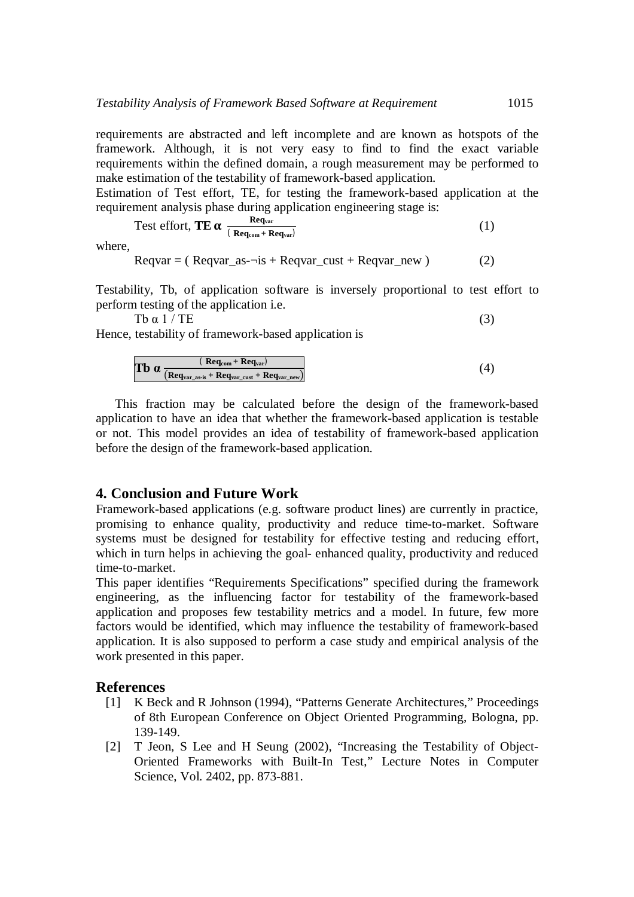requirements are abstracted and left incomplete and are known as hotspots of the framework. Although, it is not very easy to find to find the exact variable requirements within the defined domain, a rough measurement may be performed to make estimation of the testability of framework-based application.

Estimation of Test effort, TE, for testing the framework-based application at the requirement analysis phase during application engineering stage is:

Test effort, **TE** 
$$
\alpha \frac{\text{Req}_{var}}{(\text{Req}_{com} + \text{Req}_{var})}
$$
 (1)

where,

 $Reqvar = ($  Reqvar as- $\neg$ is + Reqvar cust + Reqvar new ) (2)

Testability, Tb, of application software is inversely proportional to test effort to perform testing of the application i.e.

 $\text{Th } \alpha 1 / \text{TE}$  (3)

Hence, testability of framework-based application is

$$
\textbf{Tb} \ \alpha \frac{\textbf{(Req}_{\text{com}} + \textbf{Req}_{\text{var}})}{\textbf{(Req}_{\text{var\_as}} + \textbf{Req}_{\text{var\_cut}} + \textbf{Req}_{\text{var\_new}})} \tag{4}
$$

This fraction may be calculated before the design of the framework-based application to have an idea that whether the framework-based application is testable or not. This model provides an idea of testability of framework-based application before the design of the framework-based application.

### **4. Conclusion and Future Work**

Framework-based applications (e.g. software product lines) are currently in practice, promising to enhance quality, productivity and reduce time-to-market. Software systems must be designed for testability for effective testing and reducing effort, which in turn helps in achieving the goal- enhanced quality, productivity and reduced time-to-market.

This paper identifies "Requirements Specifications" specified during the framework engineering, as the influencing factor for testability of the framework-based application and proposes few testability metrics and a model. In future, few more factors would be identified, which may influence the testability of framework-based application. It is also supposed to perform a case study and empirical analysis of the work presented in this paper.

### **References**

- [1] K Beck and R Johnson (1994), "Patterns Generate Architectures," Proceedings of 8th European Conference on Object Oriented Programming, Bologna, pp. 139-149.
- [2] T Jeon, S Lee and H Seung (2002), "Increasing the Testability of Object-Oriented Frameworks with Built-In Test," Lecture Notes in Computer Science, Vol. 2402, pp. 873-881.